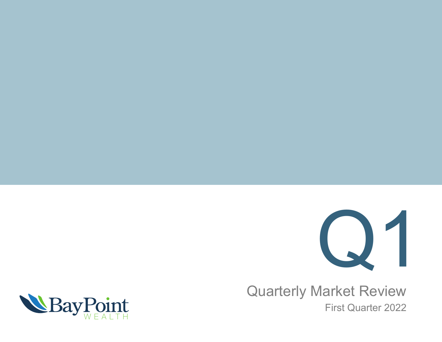

Quarterly Market Review First Quarter 2022

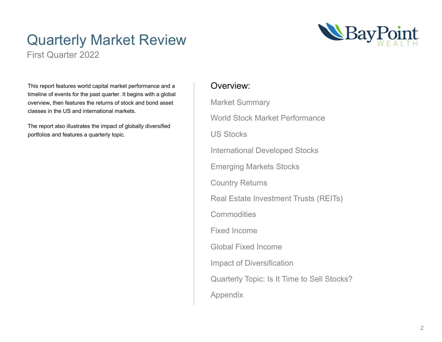### Quarterly Market Review



First Quarter 2022

This report features world capital market performance and a timeline of events for the past quarter. It begins with a global overview, then features the returns of stock and bond asset classes in the US and international markets.

The report also illustrates the impact of globally diversified portfolios and features a quarterly topic.

### Overview:

Market Summary World Stock Market Performance US Stocks International Developed Stocks Emerging Markets Stocks Country Returns Real Estate Investment Trusts (REITs) **Commodities** Fixed Income Global Fixed Income Impact of Diversification Quarterly Topic: Is It Time to Sell Stocks? Appendix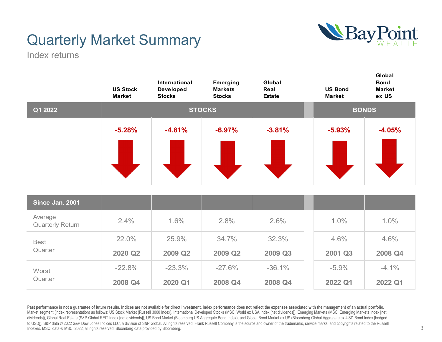

### Quarterly Market Summary

Index returns

|                                    | <b>US Stock</b><br><b>Market</b> | International<br><b>Developed</b><br><b>Stocks</b> | Emerging<br><b>Markets</b><br><b>Stocks</b> | Global<br>Real<br><b>Estate</b> | <b>US Bond</b><br><b>Market</b> | Global<br><b>Bond</b><br><b>Market</b><br>ex US |
|------------------------------------|----------------------------------|----------------------------------------------------|---------------------------------------------|---------------------------------|---------------------------------|-------------------------------------------------|
| Q1 2022                            |                                  |                                                    | <b>STOCKS</b>                               |                                 |                                 | <b>BONDS</b>                                    |
|                                    | $-5.28%$                         | $-4.81%$                                           | $-6.97%$                                    | $-3.81%$                        | $-5.93%$                        | $-4.05%$                                        |
| Since Jan. 2001                    |                                  |                                                    |                                             |                                 |                                 |                                                 |
| Average<br><b>Quarterly Return</b> | 2.4%                             | 1.6%                                               | 2.8%                                        | 2.6%                            | 1.0%                            | 1.0%                                            |
| <b>Best</b>                        | 22.0%                            | 25.9%                                              | 34.7%                                       | 32.3%                           | 4.6%                            | 4.6%                                            |
| Quarter                            | 2020 Q2                          | 2009 Q2                                            | 2009 Q2                                     | 2009 Q3                         | 2001 Q3                         | 2008 Q4                                         |
| Worst                              | $-22.8%$                         | $-23.3%$                                           | $-27.6%$                                    | $-36.1%$                        | $-5.9%$                         | $-4.1\%$                                        |
| Quarter                            | 2008 Q4                          | 2020 Q1                                            | 2008 Q4                                     | 2008 Q4                         | 2022 Q1                         | 2022 Q1                                         |

Past performance is not a guarantee of future results. Indices are not available for direct investment. Index performance does not reflect the expenses associated with the management of an actual portfolio. Market segment (index representation) as follows: US Stock Market (Russell 3000 Index), International Developed Stocks (MSCI World ex USA Index [net dividends]), Emerging Markets (MSCI Emerging Markets Index [net dividends]), Global Real Estate (S&P Global REIT Index [net dividends]), US Bond Market (Bloomberg US Aggregate Bond Index), and Global Bond Market ex US (Bloomberg Global Aggregate ex-USD Bond Index [hedged to USD]). S&P data © 2022 S&P Dow Jones Indices LLC, a division of S&P Global. All rights reserved. Frank Russell Company is the source and owner of the trademarks, service marks, and copyrights related to the Russell Indexes. MSCI data © MSCI 2022, all rights reserved. Bloomberg data provided by Bloomberg.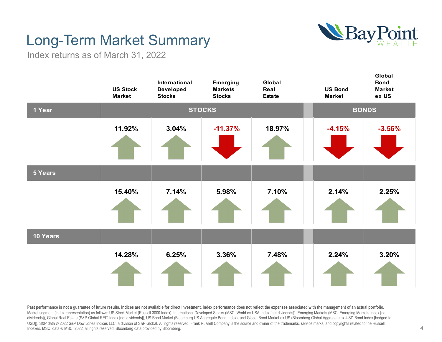

### Long-Term Market Summary

Index returns as of March 31, 2022



Past performance is not a quarantee of future results. Indices are not available for direct investment. Index performance does not reflect the expenses associated with the management of an actual portfolio. Market segment (index representation) as follows: US Stock Market (Russell 3000 Index), International Developed Stocks (MSCI World ex USA Index [net dividends]), Emerging Markets (MSCI Emerging Markets Index [net dividends]), Global Real Estate (S&P Global REIT Index [net dividends]), US Bond Market (Bloomberg US Aggregate Bond Index), and Global Bond Market ex US (Bloomberg Global Aggregate ex-USD Bond Index [hedged to USD]). S&P data © 2022 S&P Dow Jones Indices LLC, a division of S&P Global. All rights reserved. Frank Russell Company is the source and owner of the trademarks, service marks, and copyrights related to the Russell Indexes. MSCI data © MSCI 2022, all rights reserved. Bloomberg data provided by Bloomberg.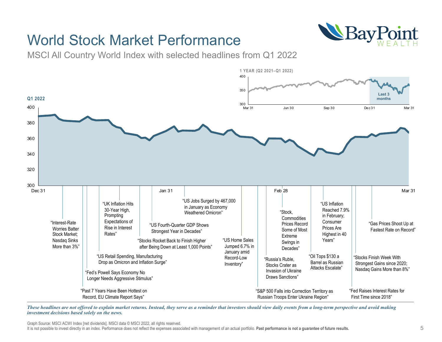### World Stock Market Performance



MSCI All Country World Index with selected headlines from Q1 2022



*These headlines are not offered to explain market returns. Instead, they serve as a reminder that investors should view daily events from a long-term perspective and avoid making investment decisions based solely on the news.*

Graph Source: MSCI ACWI Index [net dividends]. MSCI data © MSCI 2022, all rights reserved.

It is not possible to invest directly in an index. Performance does not reflect the expenses associated with management of an actual portfolio. **Past performance is not a guarantee of future results.**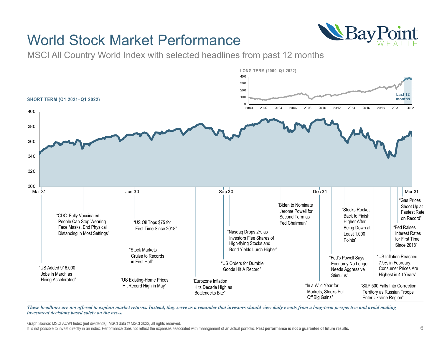### World Stock Market Performance



MSCI All Country World Index with selected headlines from past 12 months



*These headlines are not offered to explain market returns. Instead, they serve as a reminder that investors should view daily events from a long-term perspective and avoid making investment decisions based solely on the news.*

Graph Source: MSCI ACWI Index [net dividends]. MSCI data © MSCI 2022, all rights reserved.

It is not possible to invest directly in an index. Performance does not reflect the expenses associated with management of an actual portfolio. **Past performance is not a guarantee of future results.**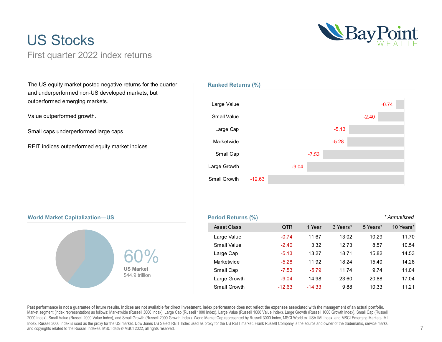### US Stocks First quarter 2022 index returns



The US equity market posted negative returns for the quarter and underperformed non-US developed markets, but outperformed emerging markets.

Value outperformed growth.

Small caps underperformed large caps.

REIT indices outperformed equity market indices.



### **World Market Capitalization—US Period Returns (%) Period Returns (%)**



Small Growth

-12.63

### *\* Annualized*

| Asset Class  | <b>QTR</b> | 1 Year   | 3 Years* | 5 Years* | 10 Years* |
|--------------|------------|----------|----------|----------|-----------|
| Large Value  | $-0.74$    | 11.67    | 13.02    | 10.29    | 11.70     |
| Small Value  | $-2.40$    | 3.32     | 12.73    | 8.57     | 10.54     |
| Large Cap    | $-5.13$    | 13.27    | 18.71    | 15.82    | 14.53     |
| Marketwide   | $-5.28$    | 11.92    | 18.24    | 15.40    | 14.28     |
| Small Cap    | $-7.53$    | $-5.79$  | 11.74    | 9.74     | 11.04     |
| Large Growth | $-9.04$    | 14.98    | 23.60    | 20.88    | 17.04     |
| Small Growth | $-12.63$   | $-14.33$ | 9.88     | 10.33    | 11.21     |

**Past performance is not a guarantee of future results. Indices are not available for direct investment. Index performance does not reflect the expenses associated with the management of an actual portfolio.** Market segment (index representation) as follows: Marketwide (Russell 3000 Index), Large Cap (Russell 1000 Index), Large Value (Russell 1000 Value Index), Large Growth (Russell 1000 Growth Index), Small Cap (Russell 2000 Index), Small Value (Russell 2000 Value Index), and Small Growth (Russell 2000 Growth Index). World Market Cap represented by Russell 3000 Index, MSCI World ex USA IMI Index, and MSCI Emerging Markets IMI Index. Russell 3000 Index is used as the proxy for the US market. Dow Jones US Select REIT Index used as proxy for the US REIT market. Frank Russell Company is the source and owner of the trademarks, service marks, and copyrights related to the Russell Indexes. MSCI data © MSCI 2022, all rights reserved.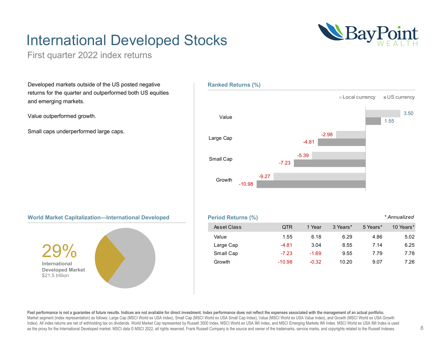### International Developed Stocks



First quarter 2022 index returns

Developed markets outside of the US posted negative returns for the quarter and outperformed both US equities and emerging markets.

Value outperformed growth.

Small caps underperformed large caps.







Past performance is not a quarantee of future results. Indices are not available for direct investment. Index performance does not reflect the expenses associated with the management of an actual portfolio. Market segment (index representation) as follows: Large Cap (MSCI World ex USA Index), Small Cap (MSCI World ex USA Small Cap Index), Value (MSCI World ex USA Value Index), and Growth (MSCI World ex USA Growth Index). All index returns are net of withholding tax on dividends. World Market Cap represented by Russell 3000 Index, MSCI World ex USA IMI Index, and MSCI Emerging Markets IMI Index. MSCI World ex USA IMI Index is used as the proxy for the International Developed market. MSCI data © MSCI 2022, all rights reserved. Frank Russell Company is the source and owner of the trademarks, service marks, and copyrights related to the Russell Indexes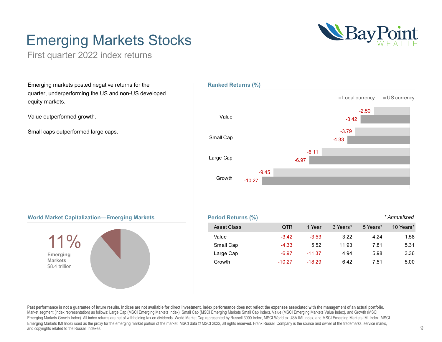# NeavPoint

### Emerging Markets Stocks

First quarter 2022 index returns

Emerging markets posted negative returns for the quarter, underperforming the US and non-US developed equity markets.

Value outperformed growth.

Small caps outperformed large caps.



### **World Market Capitalization—Emerging Markets**



| <b>Period Returns (%)</b> |          |          |          |          | * Annualized |
|---------------------------|----------|----------|----------|----------|--------------|
| Asset Class               | 0TR      | 1 Year   | 3 Years* | 5 Years* | 10 Years*    |
| Value                     | $-3.42$  | $-3.53$  | 3.22     | 4.24     | 1.58         |
| Small Cap                 | $-4.33$  | 5.52     | 11.93    | 7.81     | 5.31         |
| Large Cap                 | $-6.97$  | $-11.37$ | 4.94     | 5.98     | 3.36         |
| Growth                    | $-10.27$ | $-18.29$ | 6.42     | 7.51     | 5.00         |

**Past performance is not a guarantee of future results. Indices are not available for direct investment. Index performance does not reflect the expenses associated with the management of an actual portfolio.** Market segment (index representation) as follows: Large Cap (MSCI Emerging Markets Index), Small Cap (MSCI Emerging Markets Small Cap Index), Value (MSCI Emerging Markets Value Index), and Growth (MSCI Emerging Markets Growth Index). All index returns are net of withholding tax on dividends. World Market Cap represented by Russell 3000 Index, MSCI World ex USA IMI Index, and MSCI Emerging Markets IMI Index. MSCI Emerging Markets IMI Index used as the proxy for the emerging market portion of the market. MSCI data © MSCI 2022, all rights reserved. Frank Russell Company is the source and owner of the trademarks, service marks, and copyrights related to the Russell Indexes.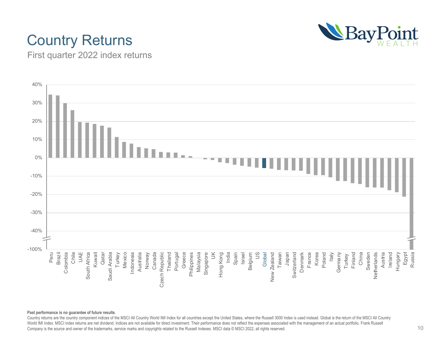### Country Returns



First quarter 2022 index returns



#### **Past performance is no guarantee of future results**.

Country returns are the country component indices of the MSCI All Country World IMI Index for all countries except the United States, where the Russell 3000 Index is used instead. Global is the return of the MSCI All Country World IMI Index. MSCI index returns are net dividend. Indices are not available for direct investment. Their performance does not reflect the expenses associated with the management of an actual portfolio. Frank Russell Company is the source and owner of the trademarks, service marks and copyrights related to the Russell Indexes. MSCI data © MSCI 2022, all rights reserved.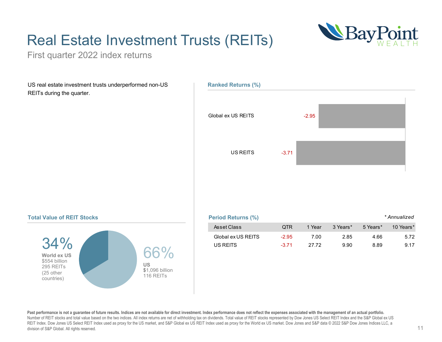### Real Estate Investment Trusts (REITs)



First quarter 2022 index returns

US real estate investment trusts underperformed non-US REITs during the quarter.



### **Total Value of REIT Stocks**



| Period Returns (%) |         |        |          |          | * Annualized |
|--------------------|---------|--------|----------|----------|--------------|
| Asset Class        | 0TR     | 1 Year | 3 Years* | 5 Years* | 10 Years*    |
| Global ex US REITS | $-2.95$ | 7 OO   | 2.85     | 4.66     | 5.72         |
| US REITS           | $-3.71$ | 27.72  | 9.90     | 8.89     | 9.17         |

Past performance is not a quarantee of future results. Indices are not available for direct investment. Index performance does not reflect the expenses associated with the management of an actual portfolio. Number of REIT stocks and total value based on the two indices. All index returns are net of withholding tax on dividends. Total value of REIT stocks represented by Dow Jones US Select REIT Index and the S&P Global ex US REIT Index. Dow Jones US Select REIT Index used as proxy for the US market, and S&P Global ex US REIT Index used as proxy for the World ex US market. Dow Jones and S&P data © 2022 S&P Dow Jones Indices LLC, a division of S&P Global. All rights reserved.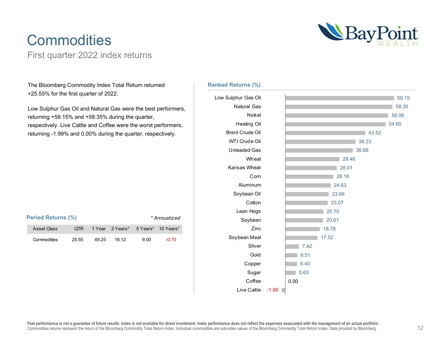### **Commodities**

First quarter 2022 index returns



The Bloomberg Commodity Index Total Return returned +25.55% for the first quarter of 2022.

Low Sulphur Gas Oil and Natural Gas were the best performers, returning +59.15% and +58.35% during the quarter, respectively. Live Cattle and Coffee were the worst performers, returning -1.99% and 0.00% during the quarter, respectively.

| <b>Period Returns (%)</b><br>* Annualized |       |       |                                    |      |         |
|-------------------------------------------|-------|-------|------------------------------------|------|---------|
| Asset Class                               | OTR.  |       | 1 Year 3 Years* 5 Years* 10 Years* |      |         |
| Commodities                               | 25.55 | 49.25 | 16.12                              | 9.00 | $-0.70$ |

### **Ranked Returns (%)**

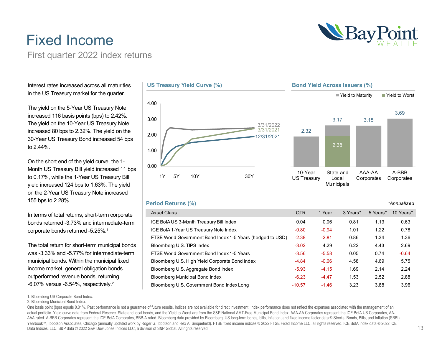### Fixed Income First quarter 2022 index returns

Interest rates increased across all maturities in the US Treasury market for the quarter.

The yield on the 5-Year US Treasury Note increased 116 basis points (bps) to 2.42%. The yield on the 10-Year US Treasury Note increased 80 bps to 2.32%. The yield on the 30-Year US Treasury Bond increased 54 bps to 2.44%.

On the short end of the yield curve, the 1- Month US Treasury Bill yield increased 11 bps to 0.17%, while the 1-Year US Treasury Bill yield increased 124 bps to 1.63%. The yield on the 2-Year US Treasury Note increased 155 bps to 2.28%.

In terms of total returns, short-term corporate bonds returned -3.73% and intermediate-term corporate bonds returned -5.25%.1

The total return for short-term municipal bonds was -3.33% and -5.77% for intermediate-term municipal bonds. Within the municipal fixed income market, general obligation bonds outperformed revenue bonds, returning -6.07% versus -6.54%, respectively.2

1. Bloomberg US Corporate Bond Index.

2. Bloomberg Municipal Bond Index.

One basis point (bps) equals 0.01%. Past performance is not a quarantee of future results. Indices are not available for direct investment. Index performance does not reflect the expenses associated with the management of actual portfolio. Yield curve data from Federal Reserve. State and local bonds, and the Yield to Worst are from the S&P National AMT-Free Municipal Bond Index. AAA-AA Corporates represent the ICE BofA US Corporates, AA-AAA rated. A-BBB Corporates represent the ICE BofA Corporates, BBB-A rated. Bloomberg data provided by Bloomberg. US long-term bonds, bills, inflation, and fixed income factor data © Stocks, Bonds, Bills, and Inflation (SB Yearbook™, Ibbotson Associates, Chicago (annually updated work by Roger G. Ibbotson and Rex A. Sinquefield). FTSE fixed income indices © 2022 FTSE Fixed Income LLC, all rights reserved. ICE BofA index data © 2022 ICE Data Indices, LLC. S&P data © 2022 S&P Dow Jones Indices LLC, a division of S&P Global. All rights reserved.







### **Period Returns (%)**

4.00

| Asset Class                                                | <b>QTR</b> | 1 Year  | 3 Years* | 5 Years* | 10 Years* |
|------------------------------------------------------------|------------|---------|----------|----------|-----------|
| ICE BofAUS 3-Month Treasury Bill Index                     | 0.04       | 0.06    | 0.81     | 1.13     | 0.63      |
| ICE BofA 1-Year US Treasury Note Index                     | $-0.80$    | $-0.94$ | 1.01     | 1.22     | 0.78      |
| FTSE World Government Bond Index 1-5 Years (hedged to USD) | $-2.38$    | $-2.81$ | 0.86     | 1.34     | 1.36      |
| Bloomberg U.S. TIPS Index                                  | $-3.02$    | 4.29    | 6.22     | 4.43     | 2.69      |
| FTSE World Government Bond Index 1-5 Years                 | $-3.56$    | $-5.58$ | 0.05     | 0.74     | $-0.64$   |
| Bloomberg U.S. High Yield Corporate Bond Index             | $-4.84$    | $-0.66$ | 4.58     | 4.69     | 5.75      |
| Bloomberg U.S. Aggregate Bond Index                        | $-5.93$    | $-4.15$ | 1.69     | 2.14     | 2.24      |
| Bloomberg Municipal Bond Index                             | $-6.23$    | $-4.47$ | 1.53     | 2.52     | 2.88      |
| Bloomberg U.S. Government Bond Index Long                  | $-10.57$   | $-1.46$ | 3.23     | 3.88     | 3.96      |

 *\*Annualized*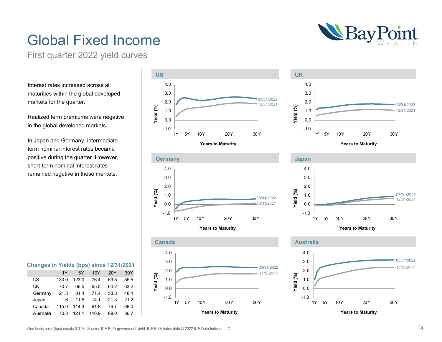

### Global Fixed Income

First quarter 2022 yield curves

Interest rates increased across all maturities within the global developed markets for the quarter.

Realized term premiums were negative in the global developed markets.

In Japan and Germany, intermediateterm nominal interest rates became positive during the quarter. However, short-term nominal interest rates remained negative in these markets.

| Changes in Yields (bps) since 12/31/2021 |      |                |  |
|------------------------------------------|------|----------------|--|
|                                          | 1Y - | 5Y 10Y 20Y 30Y |  |

| US        | 130.0 | 123.0            | 76.4               | 69.5 | 55.5 |
|-----------|-------|------------------|--------------------|------|------|
| l IK.     | 70.7  | 66.5             | 65.5               | 64.2 | 63.2 |
|           |       |                  |                    |      |      |
| Germany   | 21.3  |                  | 84.4 71.4          | 58.3 | 48.4 |
| Japan     |       |                  | 1.6 11.5 14.1 21.3 |      | 21.2 |
| Canada    | 115.0 |                  | 114.3 91.8         | 76.7 | 68.0 |
| Australia |       | 70.3 124.1 116.9 |                    | 89.0 | 86.7 |









**Years to Maturity**



**Years to Maturity**



One basis point (bps) equals 0.01%. Source: ICE BofA government yield. ICE BofA index data © 2022 ICE Data Indices, LLC.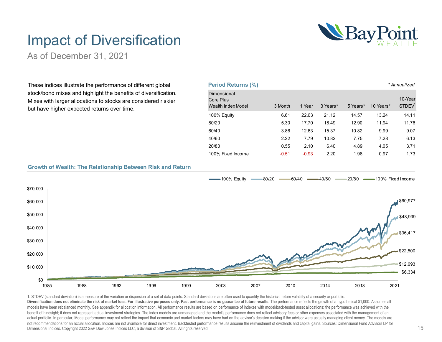

### Impact of Diversification

As of December 31, 2021

These indices illustrate the performance of different global stock/bond mixes and highlight the benefits of diversification. Mixes with larger allocations to stocks are considered riskier but have higher expected returns over time.

| <b>Period Returns (%)</b>                      |         |         |          |          |           | * Annualized                  |
|------------------------------------------------|---------|---------|----------|----------|-----------|-------------------------------|
| Dimensional<br>Core Plus<br>Wealth Index Model | 3 Month | 1 Year  | 3 Years* | 5 Years* | 10 Years* | 10-Year<br>STDEV <sup>1</sup> |
| 100% Equity                                    | 6.61    | 22.63   | 21.12    | 14.57    | 13.24     | 14.11                         |
| 80/20                                          | 5.30    | 17.70   | 18.49    | 12.90    | 11.94     | 11.76                         |
| 60/40                                          | 3.86    | 12.63   | 15.37    | 10.82    | 9.99      | 9.07                          |
| 40/60                                          | 2.22    | 7.79    | 10.82    | 7.75     | 7.28      | 6.13                          |
| 20/80                                          | 0.55    | 2.10    | 6.40     | 4.89     | 4.05      | 3.71                          |
| 100% Fixed Income                              | $-0.51$ | $-0.93$ | 2.20     | 1.98     | 0.97      | 1.73                          |

### **Growth of Wealth: The Relationship Between Risk and Return**



1. STDEV (standard deviation) is a measure of the variation or dispersion of a set of data points. Standard deviations are often used to quantify the historical return volatility of a security or portfolio. **Diversification does not eliminate the risk of market loss. For illustrative purposes only. Past performance is no guarantee of future results.** The performance reflects the growth of a hypothetical \$1,000. Assumes all models have been rebalanced monthly. See appendix for allocation information. All performance results are based on performance of indexes with model/back-tested asset allocations; the performance was achieved with the benefit of hindsight; it does not represent actual investment strategies. The index models are unmanaged and the model's performance does not reflect advisory fees or other expenses associated with the management of an actual portfolio. In particular, Model performance may not reflect the impact that economic and market factors may have had on the advisor's decision making if the advisor were actually managing client money. The models ar not recommendations for an actual allocation. Indices are not available for direct investment. Backtested performance results assume the reinvestment of dividends and capital gains. Sources: Dimensional Fund Advisors LP fo Dimensional Indices. Copyright 2022 S&P Dow Jones Indices LLC, a division of S&P Global. All rights reserved.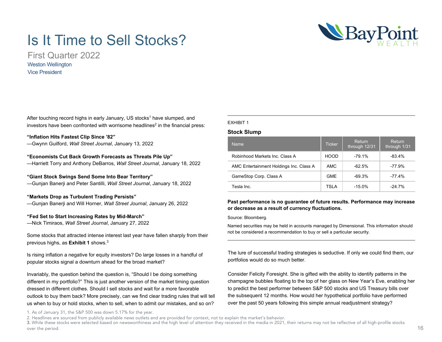### Is It Time to Sell Stocks?

First Quarter 2022 Weston Wellington Vice President

After touching record highs in early January, US stocks<sup>1</sup> have slumped, and investors have been confronted with worrisome headlines<sup>2</sup> in the financial press:

### **"Inflation Hits Fastest Clip Since '82"**

—Gwynn Guilford, *Wall Street Journal*, January 13, 2022

### **"Economists Cut Back Growth Forecasts as Threats Pile Up"**

—Harriett Torry and Anthony DeBarros, *Wall Street Journal*, January 18, 2022

### **"Giant Stock Swings Send Some Into Bear Territory"**

—Gunjan Banerji and Peter Santilli, *Wall Street Journal*, January 18, 2022

### **"Markets Drop as Turbulent Trading Persists"**

—Gunjan Banerji and Will Horner, *Wall Street Journal*, January 26, 2022

### **"Fed Set to Start Increasing Rates by Mid-March"**

—Nick Timiraos, *Wall Street Journal*, January 27, 2022

Some stocks that attracted intense interest last year have fallen sharply from their previous highs, as **Exhibit 1** shows.3

Is rising inflation a negative for equity investors? Do large losses in a handful of popular stocks signal a downturn ahead for the broad market?

Invariably, the question behind the question is, "Should I be doing something different in my portfolio?" This is just another version of the market timing question dressed in different clothes. Should I sell stocks and wait for a more favorable outlook to buy them back? More precisely, can we find clear trading rules that will tell us when to buy or hold stocks, when to sell, when to admit our mistakes, and so on?

1. As of January 31, the S&P 500 was down 5.17% for the year.

#### 2. Headlines are sourced from publicly available news outlets and are provided for context, not to explain the market's behavior.

3. While these stocks were selected based on newsworthiness and the high level of attention they received in the media in 2021, their returns may not be reflective of all high-profile stocks over the period.

### EXHIBIT 1

### **Stock Slump**

| <b>Name</b>                             | <b>Ticker</b> | <b>Return</b><br>through 12/31 | Return<br>through 1/31 |
|-----------------------------------------|---------------|--------------------------------|------------------------|
| Robinhood Markets Inc. Class A          | HOOD          | $-79.1%$                       | $-83.4%$               |
| AMC Entertainment Holdings Inc. Class A | AMC           | $-62.5%$                       | $-77.9%$               |
| GameStop Corp. Class A                  | <b>GME</b>    | $-69.3%$                       | $-77.4%$               |
| Tesla Inc.                              | <b>TSLA</b>   | $-15.0\%$                      | $-24.7%$               |

### **Past performance is no guarantee of future results. Performance may increase or decrease as a result of currency fluctuations.**

#### Source: Bloomberg.

Named securities may be held in accounts managed by Dimensional. This information should not be considered a recommendation to buy or sell a particular security.

The lure of successful trading strategies is seductive. If only we could find them, our portfolios would do so much better.

Consider Felicity Foresight. She is gifted with the ability to identify patterns in the champagne bubbles floating to the top of her glass on New Year's Eve, enabling her to predict the best performer between S&P 500 stocks and US Treasury bills over the subsequent 12 months. How would her hypothetical portfolio have performed over the past 50 years following this simple annual readjustment strategy?

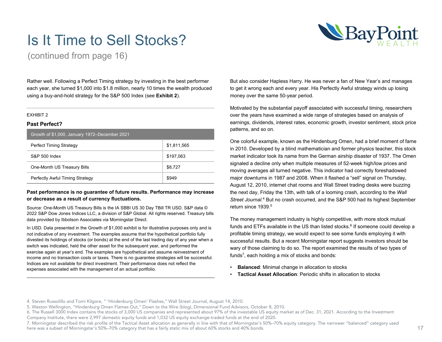

### Is It Time to Sell Stocks?

(continued from page 16)

Rather well. Following a Perfect Timing strategy by investing in the best performer each year, she turned \$1,000 into \$1.8 million, nearly 10 times the wealth produced using a buy-and-hold strategy for the S&P 500 Index (see **Exhibit 2**).

#### EXHIBIT 2

### **Past Perfect?**

| Growth of \$1,000, January 1972–December 2021 |             |  |  |  |  |
|-----------------------------------------------|-------------|--|--|--|--|
| <b>Perfect Timing Strategy</b>                | \$1,811,565 |  |  |  |  |
| S&P 500 Index                                 | \$197.063   |  |  |  |  |
| One-Month US Treasury Bills                   | \$8.727     |  |  |  |  |
| Perfectly Awful Timing Strategy               | \$949       |  |  |  |  |

### **Past performance is no guarantee of future results. Performance may increase or decrease as a result of currency fluctuations.**

Source: One-Month US Treasury Bills is the IA SBBI US 30 Day TBill TR USD. S&P data © 2022 S&P Dow Jones Indices LLC, a division of S&P Global. All rights reserved. Treasury bills data provided by Ibbotson Associates via Morningstar Direct.

In USD. Data presented in the Growth of \$1,000 exhibit is for illustrative purposes only and is not indicative of any investment. The examples assume that the hypothetical portfolio fully divested its holdings of stocks (or bonds) at the end of the last trading day of any year when a switch was indicated, held the other asset for the subsequent year, and performed the exercise again at year's end. The examples are hypothetical and assume reinvestment of income and no transaction costs or taxes. There is no guarantee strategies will be successful. Indices are not available for direct investment. Their performance does not reflect the expenses associated with the management of an actual portfolio.

But also consider Hapless Harry. He was never a fan of New Year's and manages to get it wrong each and every year. His Perfectly Awful strategy winds up losing money over the same 50-year period.

Motivated by the substantial payoff associated with successful timing, researchers over the years have examined a wide range of strategies based on analysis of earnings, dividends, interest rates, economic growth, investor sentiment, stock price patterns, and so on.

One colorful example, known as the Hindenburg Omen, had a brief moment of fame in 2010. Developed by a blind mathematician and former physics teacher, this stock market indicator took its name from the German airship disaster of 1937. The Omen signaled a decline only when multiple measures of 52-week high/low prices and moving averages all turned negative. This indicator had correctly foreshadowed major downturns in 1987 and 2008. When it flashed a "sell" signal on Thursday, August 12, 2010, internet chat rooms and Wall Street trading desks were buzzing the next day, Friday the 13th, with talk of a looming crash, according to the *Wall*  Street Journal.<sup>4</sup> But no crash occurred, and the S&P 500 had its highest September return since 1939.<sup>5</sup>

The money management industry is highly competitive, with more stock mutual funds and ETFs available in the US than listed stocks.<sup>6</sup> If someone could develop a profitable timing strategy, we would expect to see some funds employing it with successful results. But a recent Morningstar report suggests investors should be wary of those claiming to do so. The report examined the results of two types of funds<sup>7</sup>, each holding a mix of stocks and bonds:

- **Balanced**: Minimal change in allocation to stocks
- **Tactical Asset Allocation**: Periodic shifts in allocation to stocks

<sup>4.</sup> Steven Russolillo and Tomi Kilgore, " 'Hindenburg Omen' Flashes," Wall Street Journal, August 14, 2010.

<sup>5.</sup> Weston Wellington, "Hindenburg Omen Flames Out," Down to the Wire (blog), Dimensional Fund Advisors, October 8, 2010.

<sup>6.</sup> The Russell 3000 Index contains the stocks of 3,000 US companies and represented about 97% of the investable US equity market as of Dec. 31, 2021. According to the Investment Company Institute, there were 2,997 domestic equity funds and 1,032 US equity exchange-traded funds at the end of 2020.

<sup>7.</sup> Morningstar described the risk profile of the Tactical Asset allocation as generally in line with that of Morningstar's 50%–70% equity category. The narrower "balanced" category used here was a subset of Morningstar's 50%–70% category that has a fairly static mix of about 60% stocks and 40% bonds.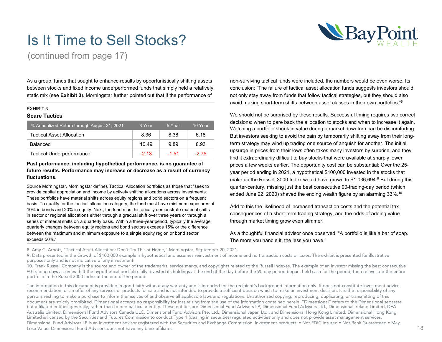

### Is It Time to Sell Stocks?

(continued from page 17)

As a group, funds that sought to enhance results by opportunistically shifting assets between stocks and fixed income underperformed funds that simply held a relatively static mix (see **Exhibit 3**). Morningstar further pointed out that if the performance of

#### EXHIBIT 3

### **Scare Tactics**

| √% Annualized Return through August 31, 2021 | 3 Year  | 5 Year  | 10 Year |
|----------------------------------------------|---------|---------|---------|
| <b>Tactical Asset Allocation</b>             | 8.36    | 8.38    | 6.18    |
| <b>Balanced</b>                              | 10.49   | 9.89    | 8.93    |
| <b>Tactical Underperformance</b>             | $-2.13$ | $-1.51$ | $-2.75$ |

### **Past performance, including hypothetical performance, is no guarantee of future results. Performance may increase or decrease as a result of currency fluctuations.**

Source Morningstar. Morningstar defines Tactical Allocation portfolios as those that "seek to provide capital appreciation and income by actively shifting allocations across investments. These portfolios have material shifts across equity regions and bond sectors on a frequent basis. To qualify for the tactical allocation category, the fund must have minimum exposures of 10% in bonds and 20% in equity. Next, the fund must historically demonstrate material shifts in sector or regional allocations either through a gradual shift over three years or through a series of material shifts on a quarterly basis. Within a three-year period, typically the average quarterly changes between equity regions and bond sectors exceeds 15% or the difference between the maximum and minimum exposure to a single equity region or bond sector exceeds 50%."

non-surviving tactical funds were included, the numbers would be even worse. Its conclusion: "The failure of tactical asset allocation funds suggests investors should not only stay away from funds that follow tactical strategies, but they should also avoid making short-term shifts between asset classes in their own portfolios."8

We should not be surprised by these results. Successful timing requires two correct decisions: when to pare back the allocation to stocks and when to increase it again. Watching a portfolio shrink in value during a market downturn can be discomforting. But investors seeking to avoid the pain by temporarily shifting away from their longterm strategy may wind up trading one source of anguish for another. The initial upsurge in prices from their lows often takes many investors by surprise, and they find it extraordinarily difficult to buy stocks that were available at sharply lower prices a few weeks earlier. The opportunity cost can be substantial: Over the 25 year period ending in 2021, a hypothetical \$100,000 invested in the stocks that make up the Russell 3000 Index would have grown to  $$1,036,694$ .<sup>9</sup> But during this quarter-century, missing just the best consecutive 90-trading-day period (which ended June 22, 2020) shaved the ending wealth figure by an alarming 33%.<sup>10</sup>

Add to this the likelihood of increased transaction costs and the potential tax consequences of a short-term trading strategy, and the odds of adding value through market timing grow even slimmer.

As a thoughtful financial advisor once observed, "A portfolio is like a bar of soap. The more you handle it, the less you have."

8. Amy C. Arnott, "Tactical Asset Allocation: Don't Try This at Home," Morningstar, September 20, 2021.

9. Data presented in the Growth of \$100,000 example is hypothetical and assumes reinvestment of income and no transaction costs or taxes. The exhibit is presented for illustrative purposes only and is not indicative of any investment.

10. Frank Russell Company is the source and owner of the trademarks, service marks, and copyrights related to the Russell Indexes. The example of an investor missing the best consecutive 90 trading days assumes that the hypothetical portfolio fully divested its holdings at the end of the day before the 90-day period began, held cash for the period, then reinvested the entire portfolio in the Russell 3000 Index at the end of the period.

The information in this document is provided in good faith without any warranty and is intended for the recipient's background information only. It does not constitute investment advice, recommendation, or an offer of any services or products for sale and is not intended to provide a sufficient basis on which to make an investment decision. It is the responsibility of any persons wishing to make a purchase to inform themselves of and observe all applicable laws and regulations. Unauthorized copying, reproducing, duplicating, or transmitting of this document are strictly prohibited. Dimensional accepts no responsibility for loss arising from the use of the information contained herein. "Dimensional" refers to the Dimensional separate but affiliated entities generally, rather than to one particular entity. These entities are Dimensional Fund Advisors LP, Dimensional Fund Advisors Ltd., Dimensional Ireland Limited, DFA Australia Limited, Dimensional Fund Advisors Canada ULC, Dimensional Advisors Pte. Ltd., Dimensional Japan Ltd., and Dimensional Hong Kong Limited. Dimensional Hong Kong Limited. Dimensional Hong Kong Limited is licensed by the Securities and Futures Commission to conduct Type 1 (dealing in securities) regulated activities only and does not provide asset management services. Dimensional Fund Advisors LP is an investment advisor registered with the Securities and Exchange Commission. Investment products: • Not FDIC Insured • Not Bank Guaranteed • May Lose Value. Dimensional Fund Advisors does not have any bank affiliates.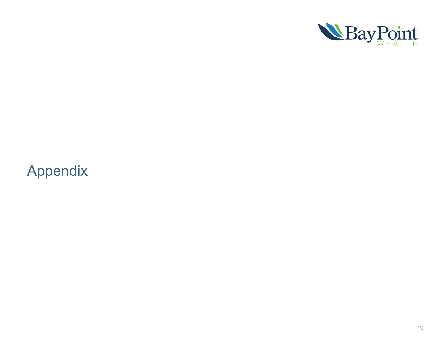

### Appendix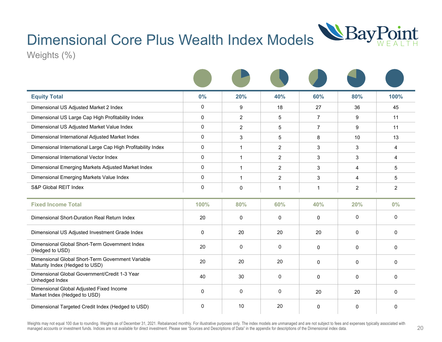### Dimensional Core Plus Wealth Index Models



Weights (%)

| <b>Equity Total</b>                                                                 | 0%             | 20%            | 40%            | 60%            | 80%            | 100%           |
|-------------------------------------------------------------------------------------|----------------|----------------|----------------|----------------|----------------|----------------|
| Dimensional US Adjusted Market 2 Index                                              | $\overline{0}$ | 9              | 18             | 27             | 36             | 45             |
| Dimensional US Large Cap High Profitability Index                                   | $\Omega$       | $\overline{2}$ | 5              | $\overline{7}$ | 9              | 11             |
| Dimensional US Adjusted Market Value Index                                          | $\Omega$       | $\overline{2}$ | 5              | 7              | 9              | 11             |
| Dimensional International Adjusted Market Index                                     | $\Omega$       | 3              | 5              | 8              | 10             | 13             |
| Dimensional International Large Cap High Profitability Index                        | $\Omega$       | $\mathbf{1}$   | 2              | 3              | 3              | 4              |
| Dimensional International Vector Index                                              | $\overline{0}$ | $\mathbf{1}$   | $\overline{2}$ | 3              | 3              | 4              |
| Dimensional Emerging Markets Adjusted Market Index                                  | $\overline{0}$ | $\mathbf{1}$   | $\overline{2}$ | 3              | $\overline{4}$ | 5              |
| Dimensional Emerging Markets Value Index                                            | $\overline{0}$ | $\mathbf{1}$   | $\overline{2}$ | 3              | 4              | 5              |
| S&P Global REIT Index                                                               | $\Omega$       | $\mathbf 0$    | 1              | 1              | $\overline{2}$ | $\overline{2}$ |
| <b>Fixed Income Total</b>                                                           | 100%           | 80%            | 60%            | 40%            | 20%            | 0%             |
| Dimensional Short-Duration Real Return Index                                        | 20             | 0              | 0              | 0              | $\overline{0}$ | $\overline{0}$ |
| Dimensional US Adjusted Investment Grade Index                                      | $\mathbf{0}$   | 20             | 20             | 20             | $\mathbf{0}$   | $\Omega$       |
| Dimensional Global Short-Term Government Index<br>(Hedged to USD)                   | 20             | $\mathbf{0}$   | $\Omega$       | 0              | $\mathbf 0$    | $\Omega$       |
| Dimensional Global Short-Term Government Variable<br>Maturity Index (Hedged to USD) | 20             | 20             | 20             | 0              | $\mathbf 0$    | 0              |
| Dimensional Global Government/Credit 1-3 Year<br>Unhedged Index                     | 40             | 30             | $\mathbf 0$    | 0              | $\mathbf 0$    | $\mathbf{0}$   |
| Dimensional Global Adjusted Fixed Income<br>Market Index (Hedged to USD)            | $\Omega$       | $\mathbf{0}$   | $\overline{0}$ | 20             | 20             | $\mathbf{0}$   |
| Dimensional Targeted Credit Index (Hedged to USD)                                   | $\Omega$       | 10             | 20             | 0              | $\mathbf 0$    | $\Omega$       |

Weights may not equal 100 due to rounding. Weights as of December 31, 2021. Rebalanced monthly. For illustrative purposes only. The index models are unmanaged and are not subject to fees and expenses typically associated w managed accounts or investment funds. Indices are not available for direct investment. Please see "Sources and Descriptions of Data" in the appendix for descriptions of the Dimensional index data.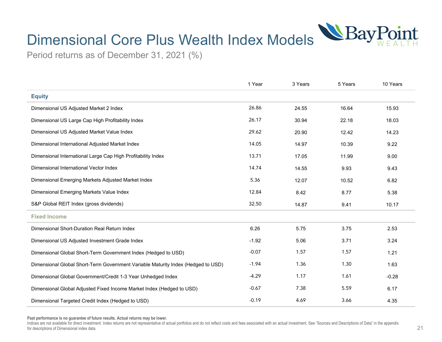

## Dimensional Core Plus Wealth Index Models

Period returns as of December 31, 2021 (%)

|                                                                                  | 1 Year  | 3 Years | 5 Years | 10 Years |
|----------------------------------------------------------------------------------|---------|---------|---------|----------|
| <b>Equity</b>                                                                    |         |         |         |          |
| Dimensional US Adjusted Market 2 Index                                           | 26.86   | 24.55   | 16.64   | 15.93    |
| Dimensional US Large Cap High Profitability Index                                | 26.17   | 30.94   | 22.18   | 18.03    |
| Dimensional US Adjusted Market Value Index                                       | 29.62   | 20.90   | 12.42   | 14.23    |
| Dimensional International Adjusted Market Index                                  | 14.05   | 14.97   | 10.39   | 9.22     |
| Dimensional International Large Cap High Profitability Index                     | 13.71   | 17.05   | 11.99   | 9.00     |
| Dimensional International Vector Index                                           | 14.74   | 14.55   | 9.93    | 9.43     |
| Dimensional Emerging Markets Adjusted Market Index                               | 5.36    | 12.07   | 10.52   | 6.82     |
| Dimensional Emerging Markets Value Index                                         | 12.84   | 8.42    | 8.77    | 5.38     |
| S&P Global REIT Index (gross dividends)                                          | 32.50   | 14.87   | 9.41    | 10.17    |
| <b>Fixed Income</b>                                                              |         |         |         |          |
| Dimensional Short-Duration Real Return Index                                     | 6.26    | 5.75    | 3.75    | 2.53     |
| Dimensional US Adjusted Investment Grade Index                                   | $-1.92$ | 5.06    | 3.71    | 3.24     |
| Dimensional Global Short-Term Government Index (Hedged to USD)                   | $-0.07$ | 1.57    | 1.57    | 1.21     |
| Dimensional Global Short-Term Government Variable Maturity Index (Hedged to USD) | $-1.94$ | 1.36    | 1.30    | 1.63     |
| Dimensional Global Government/Credit 1-3 Year Unhedged Index                     | $-4.29$ | 1.17    | 1.61    | $-0.28$  |
| Dimensional Global Adjusted Fixed Income Market Index (Hedged to USD)            | $-0.67$ | 7.38    | 5.59    | 6.17     |
| Dimensional Targeted Credit Index (Hedged to USD)                                | $-0.19$ | 4.69    | 3.66    | 4.35     |

**Past performance is no guarantee of future results. Actual returns may be lower.**

Indices are not available for direct investment. Index returns are not representative of actual portfolios and do not reflect costs and fees associated with an actual investment. See "Sources and Descriptions of Data" in t for descriptions of Dimensional index data.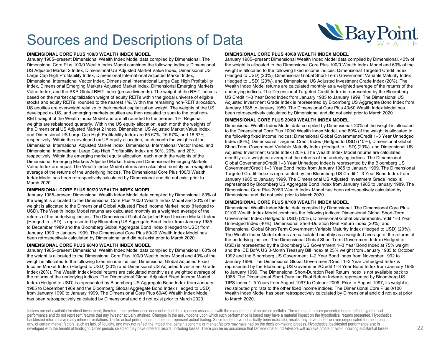#### **DIMENSIONAL CORE PLUS 100/0 WEALTH INDEX MODEL**

January 1985–present Dimensional Wealth Index Model data compiled by Dimensional. The Dimensional Core Plus 100/0 Wealth Index Model combines the following indices: Dimensional US Adjusted Market 2 Index, Dimensional US Adjusted Market Value Index, Dimensional US Large Cap High Profitability Index, Dimensional International Adjusted Market Index, Dimensional International Vector Index, Dimensional International Large Cap High Profitability Index, Dimensional Emerging Markets Adjusted Market Index, Dimensional Emerging Markets Value Index, and the S&P Global REIT Index (gross dividends). The weight of the REIT index is based on the market capitalization weight of equity REITs within the global universe of eligible stocks and equity REITs, rounded to the nearest 1%. Within the remaining non-REIT allocation, US equities are overweight relative to their market capitalization weight. The weights of the US, developed ex US, and emerging markets equities are then rescaled to sum to the total non-REIT weight of the Wealth Index Model and are all rounded to the nearest 1%. Regional weights are rebalanced quarterly. Within the US equity allocation, each month the weights of the Dimensional US Adjusted Market 2 Index, Dimensional US Adjusted Market Value Index, and Dimensional US Large Cap High Profitability Index are 66.67%, 16.67%, and 16.67%, respectively. Within the developed ex US equity allocation, each month the weights of the Dimensional International Adjusted Market Index, Dimensional International Vector Index, and Dimensional International Large Cap High Profitability Index are 60%, 20%, and 20%, respectively. Within the emerging market equity allocation, each month the weights of the Dimensional Emerging Markets Adjusted Market Index and Dimensional Emerging Markets Value Index are equal. The Wealth Index Model returns are calculated monthly as a weighted average of the returns of the underlying indices. The Dimensional Core Plus 100/0 Wealth Index Model has been retrospectively calculated by Dimensional and did not exist prior to March 2020.

#### **DIMENSIONAL CORE PLUS 80/20 WEALTH INDEX MODEL**

January 1985–present Dimensional Wealth Index Model data compiled by Dimensional. 80% of the weight is allocated to the Dimensional Core Plus 100/0 Wealth Index Model and 20% of the weight is allocated to the Dimensional Global Adjusted Fixed Income Market Index (Hedged to USD). The Wealth Index Model returns are calculated monthly as a weighted average of the returns of the underlying indices. The Dimensional Global Adjusted Fixed Income Market Index (Hedged to USD) is represented by Bloomberg US Aggregate Bond Index from January 1985 to December 1989 and the Bloomberg Global Aggregate Bond Index (Hedged to USD) from January 1990 to January 1999. The Dimensional Core Plus 80/20 Wealth Index Model has been retrospectively calculated by Dimensional and did not exist prior to March 2020.

#### **DIMENSIONAL CORE PLUS 60/40 WEALTH INDEX MODEL**

January 1985–present Dimensional Wealth Index Model data compiled by Dimensional. 60% of the weight is allocated to the Dimensional Core Plus 100/0 Wealth Index Model and 40% of the weight is allocated to the following fixed income indices: Dimensional Global Adjusted Fixed Income Market Index (Hedged to USD) (20%) and Dimensional US Adjusted Investment Grade Index (20%). The Wealth Index Model returns are calculated monthly as a weighted average of the returns of the underlying indices. The Dimensional Global Adjusted Fixed Income Market Index (Hedged to USD) is represented by Bloomberg US Aggregate Bond Index from January 1985 to December 1989 and the Bloomberg Global Aggregate Bond Index (Hedged to USD) from January 1990 to January 1999. The Dimensional Core Plus 60/40 Wealth Index Model has been retrospectively calculated by Dimensional and did not exist prior to March 2020.

#### **DIMENSIONAL CORE PLUS 40/60 WEALTH INDEX MODEL**

January 1985–present Dimensional Wealth Index Model data compiled by Dimensional. 40% of the weight is allocated to the Dimensional Core Plus 100/0 Wealth Index Model and 60% of the weight is allocated to the following fixed income indices: Dimensional Targeted Credit Index (Hedged to USD) (20%), Dimensional Global Short-Term Government Variable Maturity Index (Hedged to USD) (20%), and Dimensional US Adjusted Investment Grade Index (20%). The Wealth Index Model returns are calculated monthly as a weighted average of the returns of the underlying indices. The Dimensional Targeted Credit Index is represented by the Bloomberg US Credit 1–3 Year Bond Index from January 1985 to January 1999. The Dimensional US Adjusted Investment Grade Index is represented by Bloomberg US Aggregate Bond Index from January 1985 to January 1989. The Dimensional Core Plus 40/60 Wealth Index Model has been retrospectively calculated by Dimensional and did not exist prior to March 2020.

#### **DIMENSIONAL CORE PLUS 20/80 WEALTH INDEX MODEL**

Dimensional Wealth Index Model data compiled by Dimensional. 20% of the weight is allocated to the Dimensional Core Plus 100/0 Wealth Index Model, and 80% of the weight is allocated to the following fixed income indices: Dimensional Global Government/Credit 1–3 Year Unhedged Index (30%), Dimensional Targeted Credit Index (Hedged to USD) (10%), Dimensional Global Short-Term Government Variable Maturity Index (Hedged to USD) (20%), and Dimensional US Adjusted Investment Grade Index (20%). The Wealth Index Model returns are calculated monthly as a weighted average of the returns of the underlying indices. The Dimensional Global Government/Credit 1–3 Year Unhedged Index is represented by the Bloomberg US Government/Credit 1–3 Year Bond Index from January 1985 to January 1999. The Dimensional Targeted Credit Index is represented by the Bloomberg US Credit 1–3 Year Bond Index from January 1985 to January 1999. The Dimensional US Adjusted Investment Grade Index is represented by Bloomberg US Aggregate Bond Index from January 1985 to January 1989. The Dimensional Core Plus 20/80 Wealth Index Model has been retrospectively calculated by Dimensional and did not exist prior to March 2020.

#### **DIMENSIONAL CORE PLUS 0/100 WEALTH INDEX MODEL**

Dimensional Wealth Index Model data compiled by Dimensional. The Dimensional Core Plus 0/100 Wealth Index Model combines the following indices: Dimensional Global Short-Term Government Index (Hedged to USD) (20%), Dimensional Global Government/Credit 1–3 Year Unhedged Index (40%), Dimensional Short-Duration Real Return Index (20%), and Dimensional Global Short-Term Government Variable Maturity Index (Hedged to USD) (20%). The Wealth Index Model returns are calculated monthly as a weighted average of the returns of the underlying indices. The Dimensional Global Short-Term Government Index (Hedged to USD) is represented by the Bloomberg US Government 1–3 Year Bond Index at 75% weight and the ICE BofA US 3-Month Treasury Bill Index at 25% weight from January 1985 to October 1992 and the Bloomberg US Government 1–2 Year Bond Index from November 1992 to January 1999. The Dimensional Global Government/Credit 1–3 Year Unhedged Index is represented by the Bloomberg US Government/Credit 1–3 Year Bond Index from January 1985 to January 1999. The Dimensional Short-Duration Real Return Index is not available back to 1985. The Dimensional Short-Duration Real Return Index is represented by Bloomberg US TIPS Index 1–5 Years from August 1997 to October 2006. Prior to August 1997, its weight is redistributed pro rata to the other fixed income indices. The Dimensional Core Plus 0/100 Wealth Index Model has been retrospectively calculated by Dimensional and did not exist prior to March 2020.

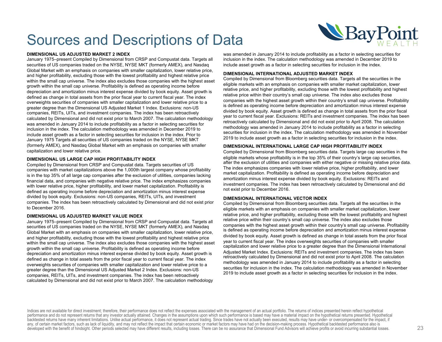

#### **DIMENSIONAL US ADJUSTED MARKET 2 INDEX**

January 1975–present Compiled by Dimensional from CRSP and Compustat data. Targets all securities of US companies traded on the NYSE, NYSE MKT (formerly AMEX), and Nasdaq Global Market with an emphasis on companies with smaller capitalization, lower relative price, and higher profitability, excluding those with the lowest profitability and highest relative price within the small cap universe. The index also excludes those companies with the highest asset growth within the small cap universe. Profitability is defined as operating income before depreciation and amortization minus interest expense divided by book equity. Asset growth is defined as change in total assets from the prior fiscal year to current fiscal year. The index overweights securities of companies with smaller capitalization and lower relative price to a greater degree than the Dimensional US Adjusted Market 1 Index. Exclusions: non-US companies, REITs, UITs, and investment companies. The index has been retroactively calculated by Dimensional and did not exist prior to March 2007. The calculation methodology was amended in January 2014 to include profitability as a factor in selecting securities for inclusion in the index. The calculation methodology was amended in December 2019 to include asset growth as a factor in selecting securities for inclusion in the index. Prior to January 1975 Targets all securities of US companies traded on the NYSE, NYSE MKT (formerly AMEX), and Nasdaq Global Market with an emphasis on companies with smaller capitalization and lower relative price.

#### **DIMENSIONAL US LARGE CAP HIGH PROFITABILITY INDEX**

Compiled by Dimensional from CRSP and Compustat data. Targets securities of US companies with market capitalizations above the 1,000th largest company whose profitability is in the top 35% of all large cap companies after the exclusion of utilities, companies lacking financial data, and companies with negative relative price. The index emphasizes companies with lower relative price, higher profitability, and lower market capitalization. Profitability is defined as operating income before depreciation and amortization minus interest expense divided by book equity. Exclusions: non-US companies, REITs, UITs, and investment companies. The index has been retroactively calculated by Dimensional and did not exist prior to December 2016.

#### **DIMENSIONAL US ADJUSTED MARKET VALUE INDEX**

January 1975–present Compiled by Dimensional from CRSP and Compustat data. Targets all securities of US companies traded on the NYSE, NYSE MKT (formerly AMEX), and Nasdaq Global Market with an emphasis on companies with smaller capitalization, lower relative price, and higher profitability, excluding those with the lowest profitability and highest relative price within the small cap universe. The index also excludes those companies with the highest asset growth within the small cap universe. Profitability is defined as operating income before depreciation and amortization minus interest expense divided by book equity. Asset growth is defined as change in total assets from the prior fiscal year to current fiscal year. The index overweights securities of companies with smaller capitalization and lower relative price to a greater degree than the Dimensional US Adjusted Market 2 Index. Exclusions: non-US companies, REITs, UITs, and investment companies. The index has been retroactively calculated by Dimensional and did not exist prior to March 2007. The calculation methodology

was amended in January 2014 to include profitability as a factor in selecting securities for inclusion in the index. The calculation methodology was amended in December 2019 to include asset growth as a factor in selecting securities for inclusion in the index.

#### **DIMENSIONAL INTERNATIONAL ADJUSTED MARKET INDEX**

Compiled by Dimensional from Bloomberg securities data. Targets all the securities in the eligible markets with an emphasis on companies with smaller market capitalization, lower relative price, and higher profitability, excluding those with the lowest profitability and highest relative price within their country's small cap universe. The index also excludes those companies with the highest asset growth within their country's small cap universe. Profitability is defined as operating income before depreciation and amortization minus interest expense divided by book equity. Asset growth is defined as change in total assets from the prior fiscal year to current fiscal year. Exclusions: REITs and investment companies. The index has been retroactively calculated by Dimensional and did not exist prior to April 2008. The calculation methodology was amended in January 2014 to include profitability as a factor in selecting securities for inclusion in the index. The calculation methodology was amended in November 2019 to include asset growth as a factor in selecting securities for inclusion in the index.

### **DIMENSIONAL INTERNATIONAL LARGE CAP HIGH PROFITABILITY INDEX**

Compiled by Dimensional from Bloomberg securities data. Targets large cap securities in the eligible markets whose profitability is in the top 35% of their country's large cap securities, after the exclusion of utilities and companies with either negative or missing relative price data. The index emphasizes companies with lower relative price, higher profitability, and lower market capitalization. Profitability is defined as operating income before depreciation and amortization minus interest expense divided by book equity. Exclusions: REITs and investment companies. The index has been retroactively calculated by Dimensional and did not exist prior to December 2016.

#### **DIMENSIONAL INTERNATIONAL VECTOR INDEX**

Compiled by Dimensional from Bloomberg securities data. Targets all the securities in the eligible markets with an emphasis on companies with smaller market capitalization, lower relative price, and higher profitability, excluding those with the lowest profitability and highest relative price within their country's small cap universe. The index also excludes those companies with the highest asset growth within their country's small cap universe. Profitability is defined as operating income before depreciation and amortization minus interest expense divided by book equity. Asset growth is defined as change in total assets from the prior fiscal year to current fiscal year. The index overweights securities of companies with smaller capitalization and lower relative price to a greater degree than the Dimensional International Adjusted Market Index. Exclusions: REITs and investment companies. The index has been retroactively calculated by Dimensional and did not exist prior to April 2008. The calculation methodology was amended in January 2014 to include profitability as a factor in selecting securities for inclusion in the index. The calculation methodology was amended in November 2019 to include asset growth as a factor in selecting securities for inclusion in the index.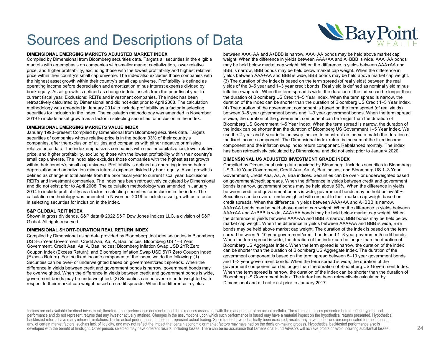

#### **DIMENSIONAL EMERGING MARKETS ADJUSTED MARKET INDEX**

Compiled by Dimensional from Bloomberg securities data. Targets all securities in the eligible markets with an emphasis on companies with smaller market capitalization, lower relative price, and higher profitability, excluding those with the lowest profitability and highest relative price within their country's small cap universe. The index also excludes those companies with the highest asset growth within their country's small cap universe. Profitability is defined as operating income before depreciation and amortization minus interest expense divided by book equity. Asset growth is defined as change in total assets from the prior fiscal year to current fiscal year. Exclusions: REITs and investment companies. The index has been retroactively calculated by Dimensional and did not exist prior to April 2008. The calculation methodology was amended in January 2014 to include profitability as a factor in selecting securities for inclusion in the index. The calculation methodology was amended in November 2019 to include asset growth as a factor in selecting securities for inclusion in the index.

#### **DIMENSIONAL EMERGING MARKETS VALUE INDEX**

January 1990–present Compiled by Dimensional from Bloomberg securities data. Targets securities of companies whose relative price is in the bottom 33% of their country's companies, after the exclusion of utilities and companies with either negative or missing relative price data. The index emphasizes companies with smaller capitalization, lower relative price, and higher profitability, excluding those with the lowest profitability within their country's small cap universe. The index also excludes those companies with the highest asset growth within their country's small cap universe. Profitability is defined as operating income before depreciation and amortization minus interest expense divided by book equity. Asset growth is defined as change in total assets from the prior fiscal year to current fiscal year. Exclusions: REITs and investment companies. The index has been retroactively calculated by Dimensional and did not exist prior to April 2008. The calculation methodology was amended in January 2014 to include profitability as a factor in selecting securities for inclusion in the index. The calculation methodology was amended in November 2019 to include asset growth as a factor in selecting securities for inclusion in the index.

#### **S&P GLOBAL REIT INDEX**

Shown in gross dividends. S&P data © 2022 S&P Dow Jones Indices LLC, a division of S&P Global. All rights reserved.

#### **DIMENSIONAL SHORT-DURATION REAL RETURN INDEX**

Compiled by Dimensional using data provided by Bloomberg. Includes securities in Bloomberg US 3–5 Year Government, Credit Aaa, Aa, A, Baa indices; Bloomberg US 1–3 Year Government, Credit Aaa, Aa, A, Baa indices; Bloomberg Inflation Swap USD 2YR Zero Coupon Index (Excess Return); and Bloomberg Inflation Swap USD 5YR Zero Coupon Index (Excess Return). For the fixed income component of the index, we do the following: (1) Securities can be over- or underweighted based on government/credit spreads. When the difference in yields between credit and government bonds is narrow, government bonds may be overweighted. When the difference in yields between credit and government bonds is wide, government bonds may be underweighted. (2) Securities can be over- or underweighted with respect to their market cap weight based on credit spreads. When the difference in yields

between AAA+AA and A+BBB is narrow, AAA+AA bonds may be held above market cap weight. When the difference in yields between AAA+AA and A+BBB is wide, AAA+AA bonds may be held below market cap weight. When the difference in yields between AAA+AA and BBB is narrow, BBB bonds may be held below market cap weight. When the difference in yields between AAA+AA and BBB is wide, BBB bonds may be held above market cap weight. (3) The duration of the index is based on the term spread (of real yields) between the real yields of the 3–5 year and 1–3 year credit bonds. Real yield is defined as nominal yield minus inflation swap rate. When the term spread is wide, the duration of the index can be longer than the duration of Bloomberg US Credit 1–5 Year Index. When the term spread is narrow, the duration of the index can be shorter than the duration of Bloomberg US Credit 1–5 Year Index. (4) The duration of the government component is based on the term spread (of real yields) between 3–5 year government bonds and 1–3 year government bonds. When the term spread is wide, the duration of the government component can be longer than the duration of Bloomberg US Government 1–5 Year Index. When the term spread is narrow, the duration of the index can be shorter than the duration of Bloomberg US Government 1–5 Year Index. We use the 2-year and 5-year inflation swap indices to construct an index to match the duration of the fixed income component. The Dimensional index return is the sum of the fixed income component and the inflation swap index return component. Rebalanced monthly. The index has been retroactively calculated by Dimensional and did not exist prior to January 2020.

#### **DIMENSIONAL US ADJUSTED INVESTMENT GRADE INDEX**

Compiled by Dimensional using data provided by Bloomberg. Includes securities in Bloomberg US 3–10 Year Government, Credit Aaa, Aa, A, Baa indices; and Bloomberg US 1–3 Year Government, Credit Aaa, Aa, A, Baa indices. Securities can be over- or underweighted based on government/credit spreads. When the difference in yields between credit and government bonds is narrow, government bonds may be held above 50%. When the difference in yields between credit and government bonds is wide, government bonds may be held below 50%. Securities can be over or underweighted with respect to their market cap weight based on credit spreads. When the difference in yields between AAA+AA and A+BBB is narrow, AAA+AA bonds may be held above market cap weight. When the difference in yields between AAA+AA and A+BBB is wide, AAA+AA bonds may be held below market cap weight. When the difference in yields between AAA+AA and BBB is narrow, BBB bonds may be held below market cap weight. When the difference in yields between AAA+AA and BBB is wide, BBB bonds may be held above market cap weight. The duration of the index is based on the term spread between 5–10 year government/credit bonds and 1–3 year government/credit bonds. When the term spread is wide, the duration of the index can be longer than the duration of Bloomberg US Aggregate Index. When the term spread is narrow, the duration of the index can be shorter than the duration of Bloomberg US Aggregate Index. The duration of the government component is based on the term spread between 5–10 year government bonds and 1–3 year government bonds. When the term spread is wide, the duration of the government component can be longer than the duration of Bloomberg US Government Index. When the term spread is narrow, the duration of the index can be shorter than the duration of Bloomberg US Government Index. The index has been retroactively calculated by Dimensional and did not exist prior to January 2017.